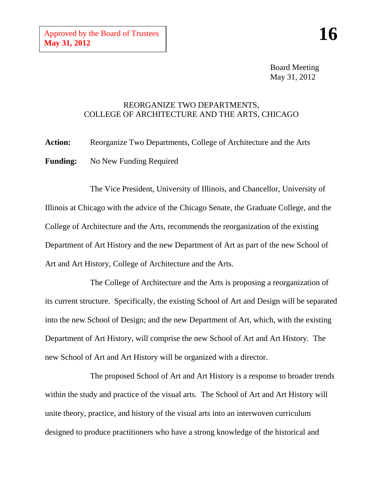Board Meeting May 31, 2012

## REORGANIZE TWO DEPARTMENTS, COLLEGE OF ARCHITECTURE AND THE ARTS, CHICAGO

**Action:** Reorganize Two Departments, College of Architecture and the Arts **Funding:** No New Funding Required

The Vice President, University of Illinois, and Chancellor, University of Illinois at Chicago with the advice of the Chicago Senate, the Graduate College, and the College of Architecture and the Arts, recommends the reorganization of the existing Department of Art History and the new Department of Art as part of the new School of Art and Art History, College of Architecture and the Arts.

The College of Architecture and the Arts is proposing a reorganization of its current structure. Specifically, the existing School of Art and Design will be separated into the new School of Design; and the new Department of Art*,* which, with the existing Department of Art History, will comprise the new School of Art and Art History*.* The new School of Art and Art History will be organized with a director.

The proposed School of Art and Art History is a response to broader trends within the study and practice of the visual arts. The School of Art and Art History will unite theory, practice, and history of the visual arts into an interwoven curriculum designed to produce practitioners who have a strong knowledge of the historical and